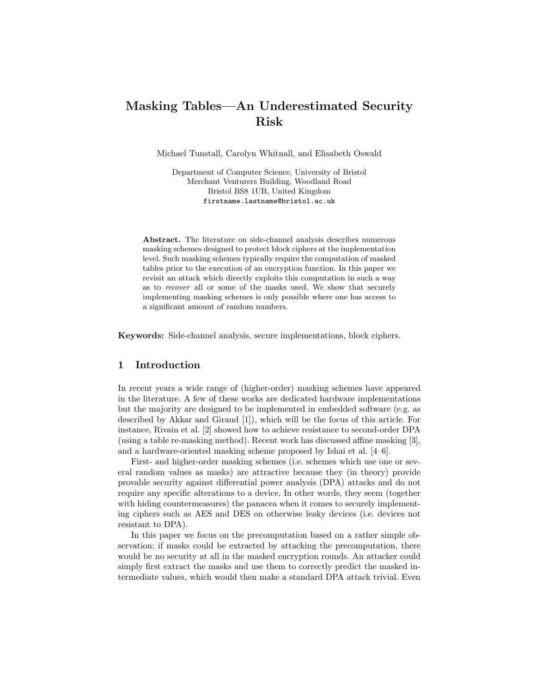# Masking Tables—An Underestimated Security Risk

Michael Tunstall, Carolyn Whitnall, and Elisabeth Oswald

Department of Computer Science, University of Bristol Merchant Venturers Building, Woodland Road Bristol BS8 1UB, United Kingdom firstname.lastname@bristol.ac.uk

Abstract. The literature on side-channel analysis describes numerous masking schemes designed to protect block ciphers at the implementation level. Such masking schemes typically require the computation of masked tables prior to the execution of an encryption function. In this paper we revisit an attack which directly exploits this computation in such a way as to recover all or some of the masks used. We show that securely implementing masking schemes is only possible where one has access to a significant amount of random numbers.

Keywords: Side-channel analysis, secure implementations, block ciphers.

### 1 Introduction

In recent years a wide range of (higher-order) masking schemes have appeared in the literature. A few of these works are dedicated hardware implementations but the majority are designed to be implemented in embedded software (e.g. as described by Akkar and Giraud [1]), which will be the focus of this article. For instance, Rivain et al. [2] showed how to achieve resistance to second-order DPA (using a table re-masking method). Recent work has discussed affine masking [3], and a hardware-oriented masking scheme proposed by Ishai et al. [4–6].

First- and higher-order masking schemes (i.e. schemes which use one or several random values as masks) are attractive because they (in theory) provide provable security against differential power analysis (DPA) attacks and do not require any specific alterations to a device. In other words, they seem (together with hiding countermeasures) the panacea when it comes to securely implementing ciphers such as AES and DES on otherwise leaky devices (i.e. devices not resistant to DPA).

In this paper we focus on the precomputation based on a rather simple observation: if masks could be extracted by attacking the precomputation, there would be no security at all in the masked encryption rounds. An attacker could simply first extract the masks and use them to correctly predict the masked intermediate values, which would then make a standard DPA attack trivial. Even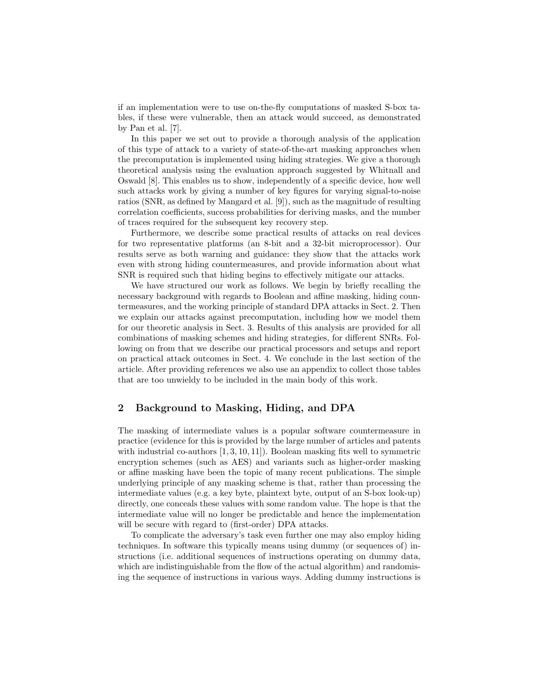if an implementation were to use on-the-fly computations of masked S-box tables, if these were vulnerable, then an attack would succeed, as demonstrated by Pan et al. [7].

In this paper we set out to provide a thorough analysis of the application of this type of attack to a variety of state-of-the-art masking approaches when the precomputation is implemented using hiding strategies. We give a thorough theoretical analysis using the evaluation approach suggested by Whitnall and Oswald [8]. This enables us to show, independently of a specific device, how well such attacks work by giving a number of key figures for varying signal-to-noise ratios (SNR, as defined by Mangard et al. [9]), such as the magnitude of resulting correlation coefficients, success probabilities for deriving masks, and the number of traces required for the subsequent key recovery step.

Furthermore, we describe some practical results of attacks on real devices for two representative platforms (an 8-bit and a 32-bit microprocessor). Our results serve as both warning and guidance: they show that the attacks work even with strong hiding countermeasures, and provide information about what SNR is required such that hiding begins to effectively mitigate our attacks.

We have structured our work as follows. We begin by briefly recalling the necessary background with regards to Boolean and affine masking, hiding countermeasures, and the working principle of standard DPA attacks in Sect. 2. Then we explain our attacks against precomputation, including how we model them for our theoretic analysis in Sect. 3. Results of this analysis are provided for all combinations of masking schemes and hiding strategies, for different SNRs. Following on from that we describe our practical processors and setups and report on practical attack outcomes in Sect. 4. We conclude in the last section of the article. After providing references we also use an appendix to collect those tables that are too unwieldy to be included in the main body of this work.

## 2 Background to Masking, Hiding, and DPA

The masking of intermediate values is a popular software countermeasure in practice (evidence for this is provided by the large number of articles and patents with industrial co-authors  $[1, 3, 10, 11]$ . Boolean masking fits well to symmetric encryption schemes (such as AES) and variants such as higher-order masking or affine masking have been the topic of many recent publications. The simple underlying principle of any masking scheme is that, rather than processing the intermediate values (e.g. a key byte, plaintext byte, output of an S-box look-up) directly, one conceals these values with some random value. The hope is that the intermediate value will no longer be predictable and hence the implementation will be secure with regard to (first-order) DPA attacks.

To complicate the adversary's task even further one may also employ hiding techniques. In software this typically means using dummy (or sequences of) instructions (i.e. additional sequences of instructions operating on dummy data, which are indistinguishable from the flow of the actual algorithm) and randomising the sequence of instructions in various ways. Adding dummy instructions is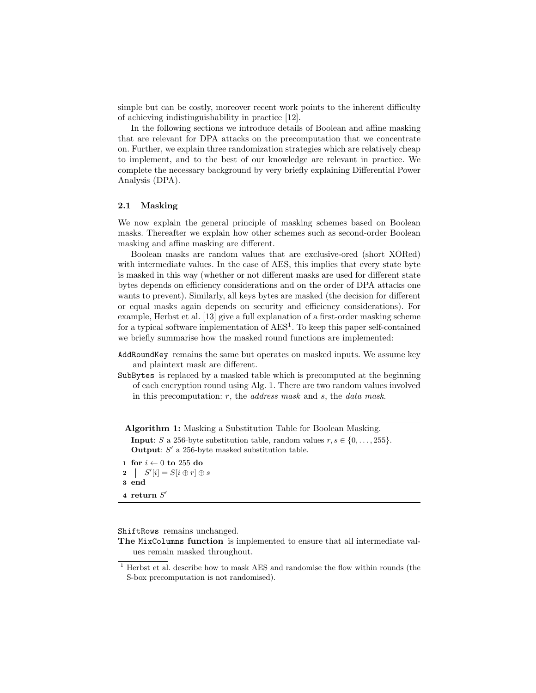simple but can be costly, moreover recent work points to the inherent difficulty of achieving indistinguishability in practice [12].

In the following sections we introduce details of Boolean and affine masking that are relevant for DPA attacks on the precomputation that we concentrate on. Further, we explain three randomization strategies which are relatively cheap to implement, and to the best of our knowledge are relevant in practice. We complete the necessary background by very briefly explaining Differential Power Analysis (DPA).

#### 2.1 Masking

We now explain the general principle of masking schemes based on Boolean masks. Thereafter we explain how other schemes such as second-order Boolean masking and affine masking are different.

Boolean masks are random values that are exclusive-ored (short XORed) with intermediate values. In the case of AES, this implies that every state byte is masked in this way (whether or not different masks are used for different state bytes depends on efficiency considerations and on the order of DPA attacks one wants to prevent). Similarly, all keys bytes are masked (the decision for different or equal masks again depends on security and efficiency considerations). For example, Herbst et al. [13] give a full explanation of a first-order masking scheme for a typical software implementation of  $\text{AES}^1$ . To keep this paper self-contained we briefly summarise how the masked round functions are implemented:

- AddRoundKey remains the same but operates on masked inputs. We assume key and plaintext mask are different.
- SubBytes is replaced by a masked table which is precomputed at the beginning of each encryption round using Alg. 1. There are two random values involved in this precomputation:  $r$ , the *address mask* and  $s$ , the *data mask*.

| <b>Algorithm 1:</b> Masking a Substitution Table for Boolean Masking.                                                                                     |
|-----------------------------------------------------------------------------------------------------------------------------------------------------------|
| <b>Input:</b> S a 256-byte substitution table, random values $r, s \in \{0, \ldots, 255\}$ .<br><b>Output:</b> $S'$ a 256-byte masked substitution table. |
| 1 for $i \leftarrow 0$ to 255 do<br>2   $S'[i] = S[i \oplus r] \oplus s$<br>3 end                                                                         |
| 4 return $S'$                                                                                                                                             |

ShiftRows remains unchanged.

The MixColumns function is implemented to ensure that all intermediate values remain masked throughout.

<sup>1</sup> Herbst et al. describe how to mask AES and randomise the flow within rounds (the S-box precomputation is not randomised).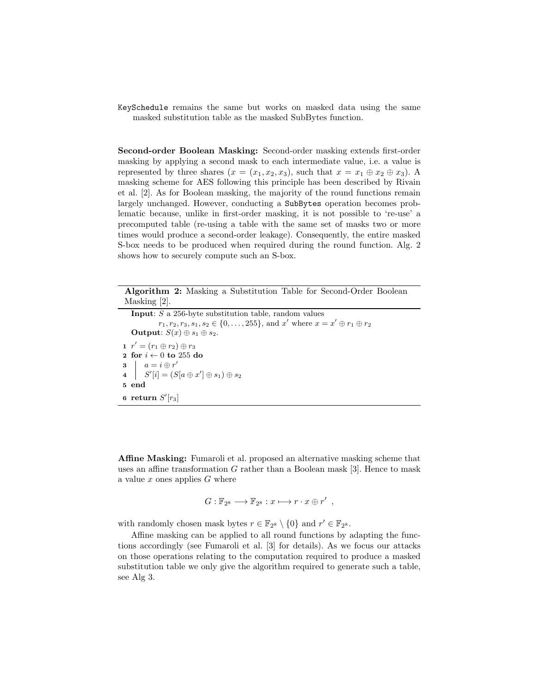KeySchedule remains the same but works on masked data using the same masked substitution table as the masked SubBytes function.

Second-order Boolean Masking: Second-order masking extends first-order masking by applying a second mask to each intermediate value, i.e. a value is represented by three shares  $(x = (x_1, x_2, x_3)$ , such that  $x = x_1 \oplus x_2 \oplus x_3$ . masking scheme for AES following this principle has been described by Rivain et al. [2]. As for Boolean masking, the majority of the round functions remain largely unchanged. However, conducting a SubBytes operation becomes problematic because, unlike in first-order masking, it is not possible to 're-use' a precomputed table (re-using a table with the same set of masks two or more times would produce a second-order leakage). Consequently, the entire masked S-box needs to be produced when required during the round function. Alg. 2 shows how to securely compute such an S-box.

| <b>Algorithm 2:</b> Masking a Substitution Table for Second-Order Boolean                      |
|------------------------------------------------------------------------------------------------|
| Masking $[2]$ .                                                                                |
| <b>Input:</b> $S$ a 256-byte substitution table, random values                                 |
| $r_1, r_2, r_3, s_1, s_2 \in \{0, \ldots, 255\}$ , and x' where $x = x' \oplus r_1 \oplus r_2$ |
| <b>Output:</b> $S(x) \oplus s_1 \oplus s_2$ .                                                  |
| 1 $r' = (r_1 \oplus r_2) \oplus r_3$                                                           |
| 2 for $i \leftarrow 0$ to 255 do                                                               |
| $3 \mid a = i \oplus r'$                                                                       |
| 4   $S'[i] = (S[a \oplus x'] \oplus s_1) \oplus s_2$                                           |
| 5 end                                                                                          |
| 6 return $S'[r_3]$                                                                             |
|                                                                                                |

Affine Masking: Fumaroli et al. proposed an alternative masking scheme that uses an affine transformation  $G$  rather than a Boolean mask [3]. Hence to mask a value  $x$  ones applies  $G$  where

$$
G: \mathbb{F}_{2^8} \longrightarrow \mathbb{F}_{2^8} : x \longmapsto r \cdot x \oplus r'
$$
,

with randomly chosen mask bytes  $r \in \mathbb{F}_{2^8} \setminus \{0\}$  and  $r' \in \mathbb{F}_{2^8}$ .

Affine masking can be applied to all round functions by adapting the functions accordingly (see Fumaroli et al. [3] for details). As we focus our attacks on those operations relating to the computation required to produce a masked substitution table we only give the algorithm required to generate such a table, see Alg 3.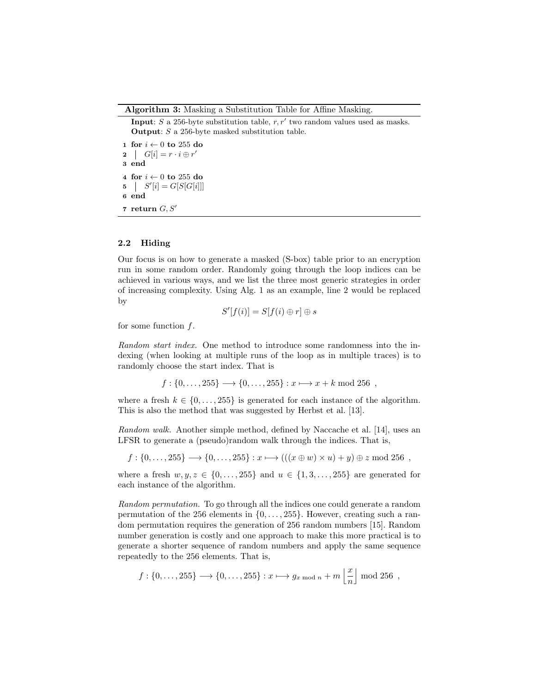#### Algorithm 3: Masking a Substitution Table for Affine Masking.

**Input:**  $S$  a 256-byte substitution table,  $r, r'$  two random values used as masks. Output: S a 256-byte masked substitution table.

1 for  $i \leftarrow 0$  to  $255$  do 2  $|G[i] = r \cdot i \oplus r'$ 3 end 4 for  $i \leftarrow 0$  to 255 do 5  $|S'[i] = G[S[G[i]]]$ 6 end 7 return  $G, S'$ 

### 2.2 Hiding

Our focus is on how to generate a masked (S-box) table prior to an encryption run in some random order. Randomly going through the loop indices can be achieved in various ways, and we list the three most generic strategies in order of increasing complexity. Using Alg. 1 as an example, line 2 would be replaced by

$$
S'[f(i)] = S[f(i) \oplus r] \oplus s
$$

for some function  $f$ .

Random start index. One method to introduce some randomness into the indexing (when looking at multiple runs of the loop as in multiple traces) is to randomly choose the start index. That is

$$
f: \{0, \ldots, 255\} \longrightarrow \{0, \ldots, 255\} : x \longmapsto x + k \mod 256 ,
$$

where a fresh  $k \in \{0, \ldots, 255\}$  is generated for each instance of the algorithm. This is also the method that was suggested by Herbst et al. [13].

Random walk. Another simple method, defined by Naccache et al. [14], uses an LFSR to generate a (pseudo)random walk through the indices. That is,

 $f : \{0, \ldots, 255\} \longrightarrow \{0, \ldots, 255\} : x \longmapsto (((x \oplus w) \times u) + y) \oplus z \mod 256$ ,

where a fresh  $w, y, z \in \{0, \ldots, 255\}$  and  $u \in \{1, 3, \ldots, 255\}$  are generated for each instance of the algorithm.

Random permutation. To go through all the indices one could generate a random permutation of the 256 elements in  $\{0, \ldots, 255\}$ . However, creating such a random permutation requires the generation of 256 random numbers [15]. Random number generation is costly and one approach to make this more practical is to generate a shorter sequence of random numbers and apply the same sequence repeatedly to the 256 elements. That is,

$$
f: \{0, \ldots, 255\} \longrightarrow \{0, \ldots, 255\} : x \longmapsto g_{x \bmod n} + m \left\lfloor \frac{x}{n} \right\rfloor \bmod 256 ,
$$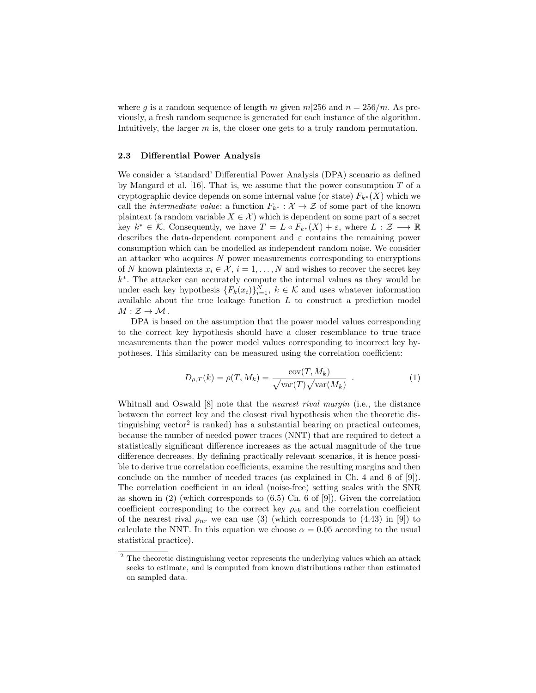where g is a random sequence of length m given  $m/256$  and  $n = 256/m$ . As previously, a fresh random sequence is generated for each instance of the algorithm. Intuitively, the larger  $m$  is, the closer one gets to a truly random permutation.

## 2.3 Differential Power Analysis

We consider a 'standard' Differential Power Analysis (DPA) scenario as defined by Mangard et al. [16]. That is, we assume that the power consumption  $T$  of a cryptographic device depends on some internal value (or state)  $F_{k^*}(X)$  which we call the *intermediate value*: a function  $F_{k^*}: \mathcal{X} \to \mathcal{Z}$  of some part of the known plaintext (a random variable  $X \in \mathcal{X}$ ) which is dependent on some part of a secret key  $k^* \in \mathcal{K}$ . Consequently, we have  $T = L \circ F_{k^*}(X) + \varepsilon$ , where  $L : \mathcal{Z} \longrightarrow \mathbb{R}$ describes the data-dependent component and  $\varepsilon$  contains the remaining power consumption which can be modelled as independent random noise. We consider an attacker who acquires  $N$  power measurements corresponding to encryptions of N known plaintexts  $x_i \in \mathcal{X}, i = 1, ..., N$  and wishes to recover the secret key k ∗ . The attacker can accurately compute the internal values as they would be under each key hypothesis  ${F_k(x_i)}_{i=1}^N$ ,  $k \in \mathcal{K}$  and uses whatever information available about the true leakage function  $L$  to construct a prediction model  $M : \mathcal{Z} \to \mathcal{M}$ .

DPA is based on the assumption that the power model values corresponding to the correct key hypothesis should have a closer resemblance to true trace measurements than the power model values corresponding to incorrect key hypotheses. This similarity can be measured using the correlation coefficient:

$$
D_{\rho,T}(k) = \rho(T, M_k) = \frac{\text{cov}(T, M_k)}{\sqrt{\text{var}(T)}\sqrt{\text{var}(M_k)}}.
$$
 (1)

Whitnall and Oswald  $[8]$  note that the *nearest rival margin* (i.e., the distance between the correct key and the closest rival hypothesis when the theoretic distinguishing vector<sup>2</sup> is ranked) has a substantial bearing on practical outcomes, because the number of needed power traces (NNT) that are required to detect a statistically significant difference increases as the actual magnitude of the true difference decreases. By defining practically relevant scenarios, it is hence possible to derive true correlation coefficients, examine the resulting margins and then conclude on the number of needed traces (as explained in Ch. 4 and 6 of [9]). The correlation coefficient in an ideal (noise-free) setting scales with the SNR as shown in  $(2)$  (which corresponds to  $(6.5)$  Ch. 6 of [9]). Given the correlation coefficient corresponding to the correct key  $\rho_{ck}$  and the correlation coefficient of the nearest rival  $\rho_{nr}$  we can use (3) (which corresponds to (4.43) in [9]) to calculate the NNT. In this equation we choose  $\alpha = 0.05$  according to the usual statistical practice).

 $^{\rm 2}$  The theoretic distinguishing vector represents the underlying values which an attack seeks to estimate, and is computed from known distributions rather than estimated on sampled data.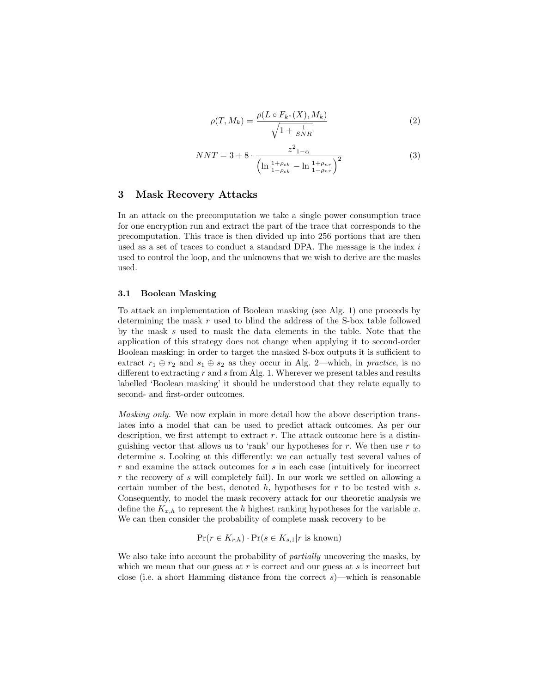$$
\rho(T, M_k) = \frac{\rho(L \circ F_{k^*}(X), M_k)}{\sqrt{1 + \frac{1}{SNR}}}
$$
\n(2)

$$
NNT = 3 + 8 \cdot \frac{z^2_{1-\alpha}}{\left(\ln \frac{1+\rho_{ck}}{1-\rho_{ck}} - \ln \frac{1+\rho_{nr}}{1-\rho_{nr}}\right)^2}
$$
(3)

## 3 Mask Recovery Attacks

In an attack on the precomputation we take a single power consumption trace for one encryption run and extract the part of the trace that corresponds to the precomputation. This trace is then divided up into 256 portions that are then used as a set of traces to conduct a standard DPA. The message is the index  $i$ used to control the loop, and the unknowns that we wish to derive are the masks used.

#### 3.1 Boolean Masking

To attack an implementation of Boolean masking (see Alg. 1) one proceeds by determining the mask r used to blind the address of the S-box table followed by the mask s used to mask the data elements in the table. Note that the application of this strategy does not change when applying it to second-order Boolean masking: in order to target the masked S-box outputs it is sufficient to extract  $r_1 \oplus r_2$  and  $s_1 \oplus s_2$  as they occur in Alg. 2—which, in practice, is no different to extracting  $r$  and  $s$  from Alg. 1. Wherever we present tables and results labelled 'Boolean masking' it should be understood that they relate equally to second- and first-order outcomes.

Masking only. We now explain in more detail how the above description translates into a model that can be used to predict attack outcomes. As per our description, we first attempt to extract  $r$ . The attack outcome here is a distinguishing vector that allows us to 'rank' our hypotheses for  $r$ . We then use  $r$  to determine s. Looking at this differently: we can actually test several values of r and examine the attack outcomes for s in each case (intuitively for incorrect  $r$  the recovery of  $s$  will completely fail). In our work we settled on allowing a certain number of the best, denoted h, hypotheses for  $r$  to be tested with s. Consequently, to model the mask recovery attack for our theoretic analysis we define the  $K_{x,h}$  to represent the h highest ranking hypotheses for the variable x. We can then consider the probability of complete mask recovery to be

$$
Pr(r \in K_{r,h}) \cdot Pr(s \in K_{s,1}|r \text{ is known})
$$

We also take into account the probability of *partially* uncovering the masks, by which we mean that our guess at  $r$  is correct and our guess at  $s$  is incorrect but close (i.e. a short Hamming distance from the correct  $s$ )—which is reasonable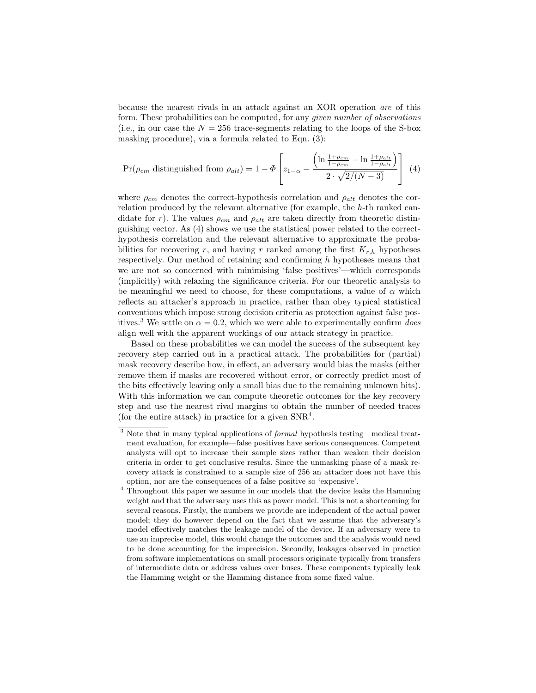because the nearest rivals in an attack against an XOR operation are of this form. These probabilities can be computed, for any given number of observations (i.e., in our case the  $N = 256$  trace-segments relating to the loops of the S-box masking procedure), via a formula related to Eqn. (3):

$$
\Pr(\rho_{cm} \text{ distinguished from } \rho_{alt}) = 1 - \Phi \left[ z_{1-\alpha} - \frac{\left( \ln \frac{1+\rho_{cm}}{1-\rho_{cm}} - \ln \frac{1+\rho_{alt}}{1-\rho_{alt}} \right)}{2 \cdot \sqrt{2/(N-3)}} \right] (4)
$$

where  $\rho_{cm}$  denotes the correct-hypothesis correlation and  $\rho_{alt}$  denotes the correlation produced by the relevant alternative (for example, the h-th ranked candidate for r). The values  $\rho_{cm}$  and  $\rho_{alt}$  are taken directly from theoretic distinguishing vector. As (4) shows we use the statistical power related to the correcthypothesis correlation and the relevant alternative to approximate the probabilities for recovering r, and having r ranked among the first  $K_{r,h}$  hypotheses respectively. Our method of retaining and confirming  $h$  hypotheses means that we are not so concerned with minimising 'false positives'—which corresponds (implicitly) with relaxing the significance criteria. For our theoretic analysis to be meaningful we need to choose, for these computations, a value of  $\alpha$  which reflects an attacker's approach in practice, rather than obey typical statistical conventions which impose strong decision criteria as protection against false positives.<sup>3</sup> We settle on  $\alpha = 0.2$ , which we were able to experimentally confirm *does* align well with the apparent workings of our attack strategy in practice.

Based on these probabilities we can model the success of the subsequent key recovery step carried out in a practical attack. The probabilities for (partial) mask recovery describe how, in effect, an adversary would bias the masks (either remove them if masks are recovered without error, or correctly predict most of the bits effectively leaving only a small bias due to the remaining unknown bits). With this information we can compute theoretic outcomes for the key recovery step and use the nearest rival margins to obtain the number of needed traces (for the entire attack) in practice for a given SNR<sup>4</sup> .

<sup>3</sup> Note that in many typical applications of formal hypothesis testing—medical treatment evaluation, for example—false positives have serious consequences. Competent analysts will opt to increase their sample sizes rather than weaken their decision criteria in order to get conclusive results. Since the unmasking phase of a mask recovery attack is constrained to a sample size of 256 an attacker does not have this option, nor are the consequences of a false positive so 'expensive'.

<sup>&</sup>lt;sup>4</sup> Throughout this paper we assume in our models that the device leaks the Hamming weight and that the adversary uses this as power model. This is not a shortcoming for several reasons. Firstly, the numbers we provide are independent of the actual power model; they do however depend on the fact that we assume that the adversary's model effectively matches the leakage model of the device. If an adversary were to use an imprecise model, this would change the outcomes and the analysis would need to be done accounting for the imprecision. Secondly, leakages observed in practice from software implementations on small processors originate typically from transfers of intermediate data or address values over buses. These components typically leak the Hamming weight or the Hamming distance from some fixed value.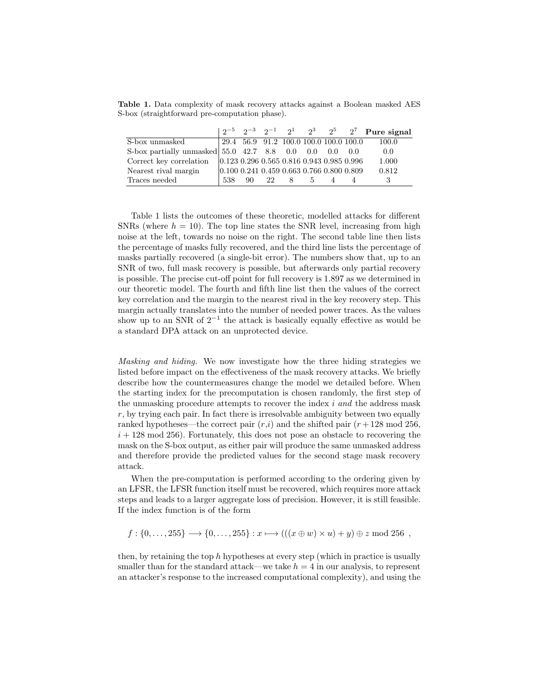Table 1. Data complexity of mask recovery attacks against a Boolean masked AES S-box (straightforward pre-computation phase).

|                                                                                              |     |     |    |              |    |                                              | $\begin{array}{ccccccccc}\n & 2^{-5} & 2^{-3} & 2^{-1} & 2^1 & 2^3 & 2^5 & 2^7 & \textbf{Pure signal}\n\end{array}$ |
|----------------------------------------------------------------------------------------------|-----|-----|----|--------------|----|----------------------------------------------|---------------------------------------------------------------------------------------------------------------------|
| S-box unmasked                                                                               |     |     |    |              |    | $29.4$ 56.9 91.2 100.0 100.0 100.0 100.0     | 100.0                                                                                                               |
| S-box partially unmasked $55.0 \quad 42.7 \quad 8.8 \quad 0.0 \quad 0.0 \quad 0.0 \quad 0.0$ |     |     |    |              |    |                                              | 0.0                                                                                                                 |
| Correct key correlation                                                                      |     |     |    |              |    | $0.123$ 0.296 0.565 0.816 0.943 0.985 0.996  | 1.000                                                                                                               |
| Nearest rival margin                                                                         |     |     |    |              |    | $ 0.100 0.241 0.459 0.663 0.766 0.800 0.809$ | 0.812                                                                                                               |
| Traces needed                                                                                | 538 | 90. | 22 | $\mathbf{8}$ | -5 |                                              |                                                                                                                     |

Table 1 lists the outcomes of these theoretic, modelled attacks for different SNRs (where  $h = 10$ ). The top line states the SNR level, increasing from high noise at the left, towards no noise on the right. The second table line then lists the percentage of masks fully recovered, and the third line lists the percentage of masks partially recovered (a single-bit error). The numbers show that, up to an SNR of two, full mask recovery is possible, but afterwards only partial recovery is possible. The precise cut-off point for full recovery is 1.897 as we determined in our theoretic model. The fourth and fifth line list then the values of the correct key correlation and the margin to the nearest rival in the key recovery step. This margin actually translates into the number of needed power traces. As the values show up to an SNR of  $2^{-1}$  the attack is basically equally effective as would be a standard DPA attack on an unprotected device.

Masking and hiding. We now investigate how the three hiding strategies we listed before impact on the effectiveness of the mask recovery attacks. We briefly describe how the countermeasures change the model we detailed before. When the starting index for the precomputation is chosen randomly, the first step of the unmasking procedure attempts to recover the index  $i$  and the address mask  $r$ , by trying each pair. In fact there is irresolvable ambiguity between two equally ranked hypotheses—the correct pair  $(r,i)$  and the shifted pair  $(r+128 \text{ mod } 256,$  $i + 128 \mod 256$ . Fortunately, this does not pose an obstacle to recovering the mask on the S-box output, as either pair will produce the same unmasked address and therefore provide the predicted values for the second stage mask recovery attack.

When the pre-computation is performed according to the ordering given by an LFSR, the LFSR function itself must be recovered, which requires more attack steps and leads to a larger aggregate loss of precision. However, it is still feasible. If the index function is of the form

$$
f: \{0,\ldots,255\} \longrightarrow \{0,\ldots,255\} : x \longmapsto (((x \oplus w) \times u) + y) \oplus z \mod 256
$$
,

then, by retaining the top h hypotheses at every step (which in practice is usually smaller than for the standard attack—we take  $h = 4$  in our analysis, to represent an attacker's response to the increased computational complexity), and using the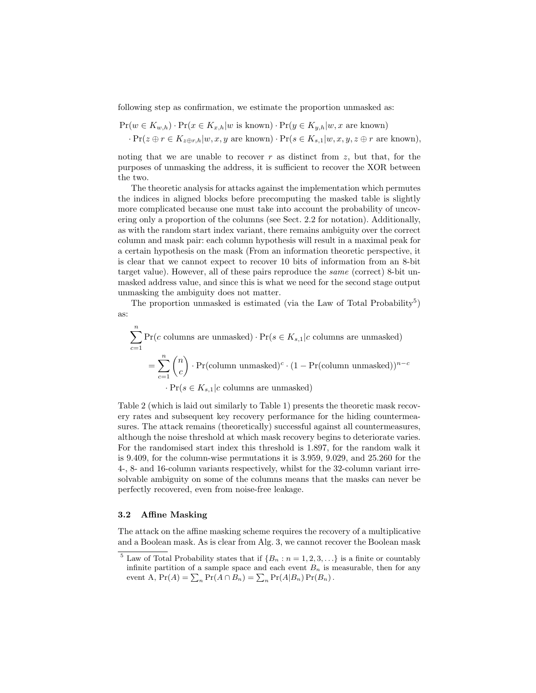following step as confirmation, we estimate the proportion unmasked as:

$$
\Pr(w \in K_{w,h}) \cdot \Pr(x \in K_{x,h}|w \text{ is known}) \cdot \Pr(y \in K_{y,h}|w, x \text{ are known})
$$

$$
\cdot \Pr(z \oplus r \in K_{z \oplus r,h}|w, x, y \text{ are known}) \cdot \Pr(s \in K_{s,1}|w, x, y, z \oplus r \text{ are known}),
$$

noting that we are unable to recover r as distinct from z, but that, for the purposes of unmasking the address, it is sufficient to recover the XOR between the two.

The theoretic analysis for attacks against the implementation which permutes the indices in aligned blocks before precomputing the masked table is slightly more complicated because one must take into account the probability of uncovering only a proportion of the columns (see Sect. 2.2 for notation). Additionally, as with the random start index variant, there remains ambiguity over the correct column and mask pair: each column hypothesis will result in a maximal peak for a certain hypothesis on the mask (From an information theoretic perspective, it is clear that we cannot expect to recover 10 bits of information from an 8-bit target value). However, all of these pairs reproduce the same (correct) 8-bit unmasked address value, and since this is what we need for the second stage output unmasking the ambiguity does not matter.

The proportion unmasked is estimated (via the Law of Total Probability<sup>5</sup>) as:

$$
\sum_{c=1}^{n} \Pr(c \text{ columns are unmasked}) \cdot \Pr(s \in K_{s,1}|c \text{ columns are unmasked})
$$
\n
$$
= \sum_{c=1}^{n} {n \choose c} \cdot \Pr(\text{column unmasked})^c \cdot (1 - \Pr(\text{column unmasked}))^{n-c}
$$
\n
$$
\cdot \Pr(s \in K_{s,1}|c \text{ columns are unmasked})
$$

Table 2 (which is laid out similarly to Table 1) presents the theoretic mask recovery rates and subsequent key recovery performance for the hiding countermeasures. The attack remains (theoretically) successful against all countermeasures, although the noise threshold at which mask recovery begins to deteriorate varies. For the randomised start index this threshold is 1.897, for the random walk it is 9.409, for the column-wise permutations it is 3.959, 9.029, and 25.260 for the 4-, 8- and 16-column variants respectively, whilst for the 32-column variant irresolvable ambiguity on some of the columns means that the masks can never be perfectly recovered, even from noise-free leakage.

#### 3.2 Affine Masking

The attack on the affine masking scheme requires the recovery of a multiplicative and a Boolean mask. As is clear from Alg. 3, we cannot recover the Boolean mask

<sup>&</sup>lt;sup>5</sup> Law of Total Probability states that if  $\{B_n : n = 1, 2, 3, ...\}$  is a finite or countably infinite partition of a sample space and each event  $B_n$  is measurable, then for any event A,  $Pr(A) = \sum_n Pr(A \cap B_n) = \sum_n Pr(A|B_n) Pr(B_n)$ .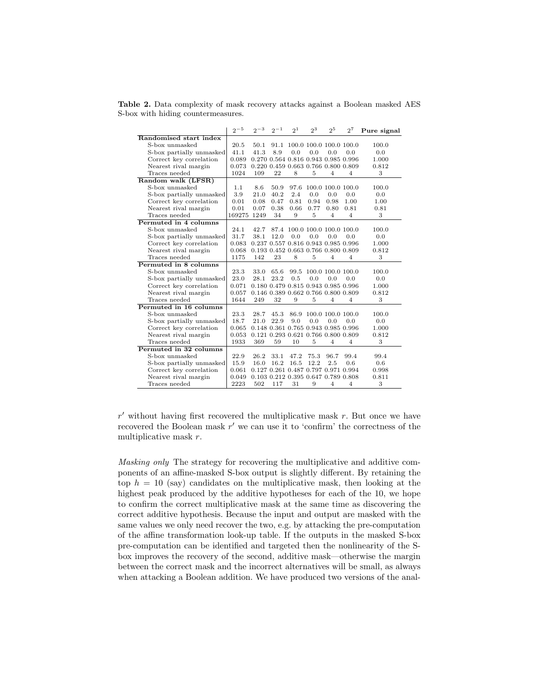Table 2. Data complexity of mask recovery attacks against a Boolean masked AES S-box with hiding countermeasures.

|                          | $2^{-5}$ | $2^{-3}$ | $2^{-1}$ | 2 <sub>1</sub>                      | $2^3\,$                 | $2^5\,$ | $2^7$          | Pure signal   |
|--------------------------|----------|----------|----------|-------------------------------------|-------------------------|---------|----------------|---------------|
| Randomised start index   |          |          |          |                                     |                         |         |                |               |
| S-box unmasked           | 20.5     | 50.1     | 91.1     |                                     | 100.0 100.0 100.0 100.0 |         |                | 100.0         |
| S-box partially unmasked | 41.1     | 41.3     | 8.9      | 0.0                                 | 0.0                     | 0.0     | 0.0            | 0.0           |
| Correct key correlation  | 0.089    |          |          | 0.270 0.564 0.816 0.943 0.985 0.996 |                         |         |                | 1.000         |
| Nearest rival margin     | 0.073    |          |          | 0.220 0.459 0.663 0.766 0.800 0.809 |                         |         |                | 0.812         |
| Traces needed            | 1024     | 109      | 22       | 8                                   | 5                       | 4       | 4              | 3             |
| Random walk (LFSR)       |          |          |          |                                     |                         |         |                |               |
| S-box unmasked           | 1.1      | 8.6      | 50.9     | 97.6                                | 100.0 100.0 100.0       |         |                | 100.0         |
| S-box partially unmasked | 3.9      | 21.0     | 40.2     | 2.4                                 | 0.0                     | 0.0     | 0.0            | 0.0           |
| Correct key correlation  | 0.01     | 0.08     | 0.47     | 0.81                                | 0.94                    | 0.98    | 1.00           | 1.00          |
| Nearest rival margin     | 0.01     | 0.07     | 0.38     | 0.66                                | 0.77                    | 0.80    | 0.81           | 0.81          |
| Traces needed            | 169275   | 1249     | 34       | 9                                   | 5                       | 4       | $\overline{4}$ | 3             |
| Permuted in 4 columns    |          |          |          |                                     |                         |         |                |               |
| S-box unmasked           | 24.1     | 42.7     |          | 87.4 100.0 100.0 100.0 100.0        |                         |         |                | 100.0         |
| S-box partially unmasked | 31.7     | 38.1     | 12.0     | 0.0                                 | 0.0                     | 0.0     | 0.0            | 0.0           |
| Correct key correlation  | 0.083    |          |          | 0.237 0.557 0.816 0.943 0.985 0.996 |                         |         |                | 1.000         |
| Nearest rival margin     | 0.068    |          |          | 0.193 0.452 0.663 0.766 0.800 0.809 |                         |         |                | 0.812         |
| Traces needed            | 1175     | 142      | 23       | 8                                   | 5                       | 4       | 4              | 3             |
| Permuted in 8 columns    |          |          |          |                                     |                         |         |                |               |
| S-box unmasked           | 23.3     | 33.0     | 65.6     | 99.5                                | 100.0 100.0 100.0       |         |                | 100.0         |
| S-box partially unmasked | 23.0     | 28.1     | 23.2     | 0.5                                 | 0.0                     | 0.0     | 0.0            | 0.0           |
| Correct key correlation  | 0.071    |          |          | 0.180 0.479 0.815 0.943 0.985 0.996 |                         |         |                | 1.000         |
| Nearest rival margin     | 0.057    |          |          | 0.146 0.389 0.662 0.766 0.800 0.809 |                         |         |                | 0.812         |
| Traces needed            | 1644     | 249      | 32       | 9                                   | 5                       | 4       | 4              | 3             |
| Permuted in 16 columns   |          |          |          |                                     |                         |         |                |               |
| S-box unmasked           | 23.3     | 28.7     | 45.3     |                                     | 86.9 100.0 100.0 100.0  |         |                | 100.0         |
| S-box partially unmasked | 18.7     | 21.0     | 22.9     | 9.0                                 | 0.0                     | 0.0     | 0.0            | 0.0           |
| Correct key correlation  | 0.065    |          |          | 0.148 0.361 0.765 0.943 0.985 0.996 |                         |         |                | 1.000         |
| Nearest rival margin     | 0.053    |          |          | 0.121 0.293 0.621 0.766 0.800 0.809 |                         |         |                | 0.812         |
| Traces needed            | 1933     | 369      | 59       | 10                                  | 5                       | 4       | $\overline{4}$ | 3             |
| Permuted in 32 columns   |          |          |          |                                     |                         |         |                |               |
| S-box unmasked           | 22.9     | 26.2     | 33.1     | 47.2                                | 75.3                    | 96.7    | 99.4           | 99.4          |
| S-box partially unmasked | 15.9     | 16.0     | 16.2     | 16.5                                | 12.2                    | 2.5     | 0.6            | $0.6^{\circ}$ |
| Correct key correlation  | 0.061    |          |          | 0.127 0.261 0.487 0.797 0.971 0.994 |                         |         |                | 0.998         |
| Nearest rival margin     | 0.049    |          |          | 0.103 0.212 0.395 0.647 0.789 0.808 |                         |         |                | 0.811         |
| Traces needed            | 2223     | 502      | 117      | 31                                  | 9                       | 4       | $\overline{4}$ | 3             |

 $r'$  without having first recovered the multiplicative mask r. But once we have recovered the Boolean mask  $r'$  we can use it to 'confirm' the correctness of the multiplicative mask r.

Masking only The strategy for recovering the multiplicative and additive components of an affine-masked S-box output is slightly different. By retaining the top  $h = 10$  (say) candidates on the multiplicative mask, then looking at the highest peak produced by the additive hypotheses for each of the 10, we hope to confirm the correct multiplicative mask at the same time as discovering the correct additive hypothesis. Because the input and output are masked with the same values we only need recover the two, e.g. by attacking the pre-computation of the affine transformation look-up table. If the outputs in the masked S-box pre-computation can be identified and targeted then the nonlinearity of the Sbox improves the recovery of the second, additive mask—otherwise the margin between the correct mask and the incorrect alternatives will be small, as always when attacking a Boolean addition. We have produced two versions of the anal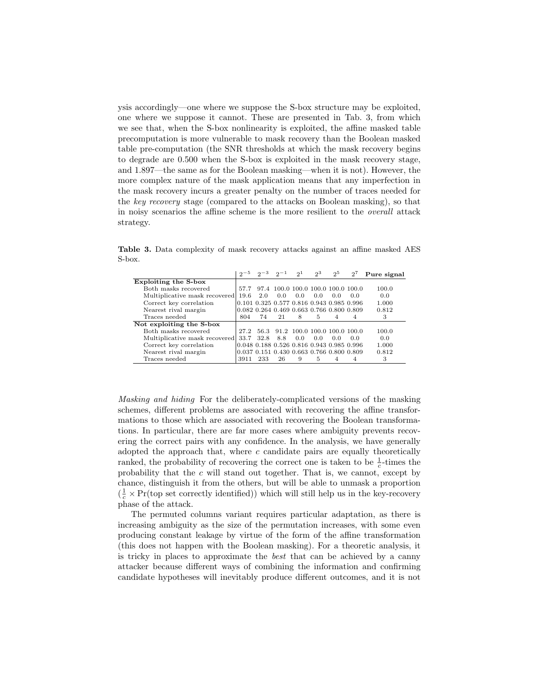ysis accordingly—one where we suppose the S-box structure may be exploited, one where we suppose it cannot. These are presented in Tab. 3, from which we see that, when the S-box nonlinearity is exploited, the affine masked table precomputation is more vulnerable to mask recovery than the Boolean masked table pre-computation (the SNR thresholds at which the mask recovery begins to degrade are 0.500 when the S-box is exploited in the mask recovery stage, and 1.897—the same as for the Boolean masking—when it is not). However, the more complex nature of the mask application means that any imperfection in the mask recovery incurs a greater penalty on the number of traces needed for the key recovery stage (compared to the attacks on Boolean masking), so that in noisy scenarios the affine scheme is the more resilient to the overall attack strategy.

Table 3. Data complexity of mask recovery attacks against an affine masked AES S-box.

|                               |      | $2^{-5}$ $2^{-3}$ $2^{-1}$ |     | 2 <sup>1</sup>                            | $2^3$ | 2 <sup>5</sup> | $2^7$ | Pure signal |
|-------------------------------|------|----------------------------|-----|-------------------------------------------|-------|----------------|-------|-------------|
| Exploiting the S-box          |      |                            |     |                                           |       |                |       |             |
| Both masks recovered          | 57.7 |                            |     | 97.4 100.0 100.0 100.0 100.0 100.0        |       |                |       | 100.0       |
| Multiplicative mask recovered | 19.6 | 2.0                        | 0.0 | 0.0                                       | 0.0   | 0.0            | 0.0   | 0.0         |
| Correct key correlation       |      |                            |     | 0.101 0.325 0.577 0.816 0.943 0.985 0.996 |       |                |       | 1.000       |
| Nearest rival margin          |      |                            |     | 0.082 0.264 0.469 0.663 0.766 0.800 0.809 |       |                |       | 0.812       |
| Traces needed                 | 804  | 74                         | 21  | 8                                         | 5     | 4              | 4     | 3           |
| Not exploiting the S-box      |      |                            |     |                                           |       |                |       |             |
| Both masks recovered          | 27.2 |                            |     | 56.3 91.2 100.0 100.0 100.0 100.0         |       |                |       | 100.0       |
| Multiplicative mask recovered | 33.7 | 32.8                       | 8.8 | 0.0                                       | 0.0   | 0.0            | 0.0   | 0.0         |
| Correct key correlation       |      |                            |     | 0.048 0.188 0.526 0.816 0.943 0.985 0.996 |       |                |       | 1.000       |
| Nearest rival margin          |      |                            |     | 0.037 0.151 0.430 0.663 0.766 0.800 0.809 |       |                |       | 0.812       |
| Traces needed                 | 3911 | 233                        | 26  | 9                                         | 5     |                |       | 3           |

Masking and hiding For the deliberately-complicated versions of the masking schemes, different problems are associated with recovering the affine transformations to those which are associated with recovering the Boolean transformations. In particular, there are far more cases where ambiguity prevents recovering the correct pairs with any confidence. In the analysis, we have generally adopted the approach that, where  $c$  candidate pairs are equally theoretically ranked, the probability of recovering the correct one is taken to be  $\frac{1}{c}$ -times the probability that the  $c$  will stand out together. That is, we cannot, except by chance, distinguish it from the others, but will be able to unmask a proportion  $(\frac{1}{c}\times\Pr(\text{top set correctly identified}))$  which will still help us in the key-recovery phase of the attack.

The permuted columns variant requires particular adaptation, as there is increasing ambiguity as the size of the permutation increases, with some even producing constant leakage by virtue of the form of the affine transformation (this does not happen with the Boolean masking). For a theoretic analysis, it is tricky in places to approximate the best that can be achieved by a canny attacker because different ways of combining the information and confirming candidate hypotheses will inevitably produce different outcomes, and it is not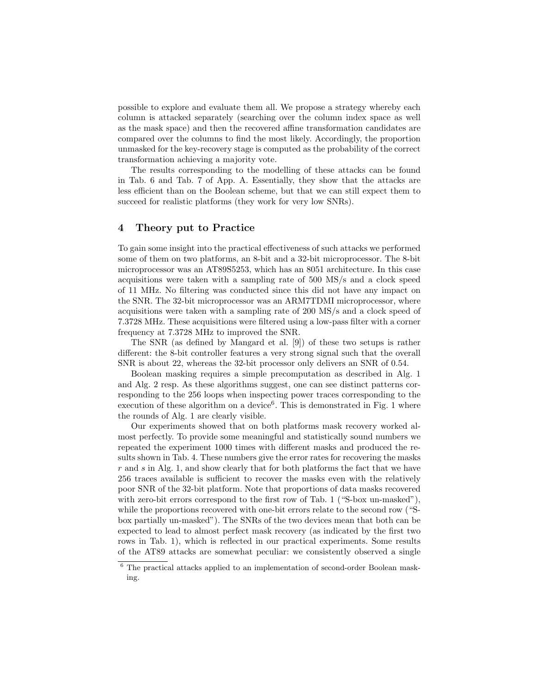possible to explore and evaluate them all. We propose a strategy whereby each column is attacked separately (searching over the column index space as well as the mask space) and then the recovered affine transformation candidates are compared over the columns to find the most likely. Accordingly, the proportion unmasked for the key-recovery stage is computed as the probability of the correct transformation achieving a majority vote.

The results corresponding to the modelling of these attacks can be found in Tab. 6 and Tab. 7 of App. A. Essentially, they show that the attacks are less efficient than on the Boolean scheme, but that we can still expect them to succeed for realistic platforms (they work for very low SNRs).

## 4 Theory put to Practice

To gain some insight into the practical effectiveness of such attacks we performed some of them on two platforms, an 8-bit and a 32-bit microprocessor. The 8-bit microprocessor was an AT89S5253, which has an 8051 architecture. In this case acquisitions were taken with a sampling rate of 500 MS/s and a clock speed of 11 MHz. No filtering was conducted since this did not have any impact on the SNR. The 32-bit microprocessor was an ARM7TDMI microprocessor, where acquisitions were taken with a sampling rate of 200 MS/s and a clock speed of 7.3728 MHz. These acquisitions were filtered using a low-pass filter with a corner frequency at 7.3728 MHz to improved the SNR.

The SNR (as defined by Mangard et al. [9]) of these two setups is rather different: the 8-bit controller features a very strong signal such that the overall SNR is about 22, whereas the 32-bit processor only delivers an SNR of 0.54.

Boolean masking requires a simple precomputation as described in Alg. 1 and Alg. 2 resp. As these algorithms suggest, one can see distinct patterns corresponding to the 256 loops when inspecting power traces corresponding to the execution of these algorithm on a device<sup>6</sup>. This is demonstrated in Fig. 1 where the rounds of Alg. 1 are clearly visible.

Our experiments showed that on both platforms mask recovery worked almost perfectly. To provide some meaningful and statistically sound numbers we repeated the experiment 1000 times with different masks and produced the results shown in Tab. 4. These numbers give the error rates for recovering the masks  $r$  and s in Alg. 1, and show clearly that for both platforms the fact that we have 256 traces available is sufficient to recover the masks even with the relatively poor SNR of the 32-bit platform. Note that proportions of data masks recovered with zero-bit errors correspond to the first row of Tab. 1 ("S-box un-masked"), while the proportions recovered with one-bit errors relate to the second row ("Sbox partially un-masked"). The SNRs of the two devices mean that both can be expected to lead to almost perfect mask recovery (as indicated by the first two rows in Tab. 1), which is reflected in our practical experiments. Some results of the AT89 attacks are somewhat peculiar: we consistently observed a single

 $6$  The practical attacks applied to an implementation of second-order Boolean masking.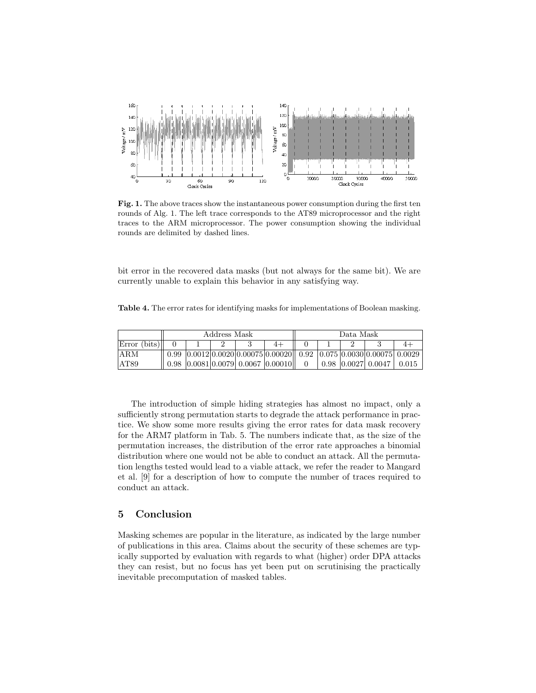

Fig. 1. The above traces show the instantaneous power consumption during the first ten rounds of Alg. 1. The left trace corresponds to the AT89 microprocessor and the right traces to the ARM microprocessor. The power consumption showing the individual rounds are delimited by dashed lines.

bit error in the recovered data masks (but not always for the same bit). We are currently unable to explain this behavior in any satisfying way.

Table 4. The error rates for identifying masks for implementations of Boolean masking.

|                 | Address Mask |  |  |  |                                                                                |  | Data Mask |  |                                                |       |  |  |
|-----------------|--------------|--|--|--|--------------------------------------------------------------------------------|--|-----------|--|------------------------------------------------|-------|--|--|
| Error<br>(bits) |              |  |  |  |                                                                                |  |           |  |                                                |       |  |  |
| <b>ARM</b>      |              |  |  |  | $0.99$ $ 0.0012 0.0020 0.00075 0.00020 $ $0.92$ $ 0.075 0.0030 0.00075 0.0029$ |  |           |  |                                                |       |  |  |
| AT89            |              |  |  |  | $0.98$ $ 0.0081 0.0079 0.0067$ $ 0.00010 $                                     |  |           |  | $\mid$ 0.98 $\mid$ 0.0027 $\mid$ 0.0047 $\mid$ | 0.015 |  |  |

The introduction of simple hiding strategies has almost no impact, only a sufficiently strong permutation starts to degrade the attack performance in practice. We show some more results giving the error rates for data mask recovery for the ARM7 platform in Tab. 5. The numbers indicate that, as the size of the permutation increases, the distribution of the error rate approaches a binomial distribution where one would not be able to conduct an attack. All the permutation lengths tested would lead to a viable attack, we refer the reader to Mangard et al. [9] for a description of how to compute the number of traces required to conduct an attack.

# 5 Conclusion

Masking schemes are popular in the literature, as indicated by the large number of publications in this area. Claims about the security of these schemes are typically supported by evaluation with regards to what (higher) order DPA attacks they can resist, but no focus has yet been put on scrutinising the practically inevitable precomputation of masked tables.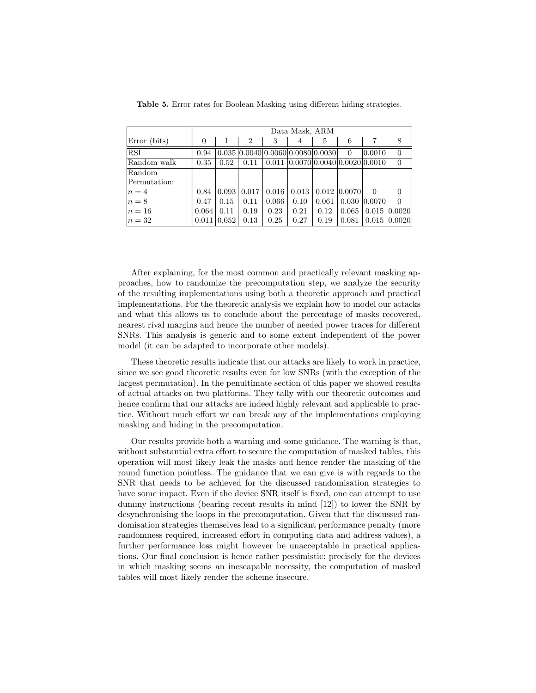|              |       | Data Mask, ARM<br>3<br>$\overline{2}$<br>5<br>4<br>$0.035   0.0040   0.0060   0.0080   0.0030  $<br>10.00101<br>$\Omega$<br>$\theta$<br>$0.011   0.0070   0.0040   0.0020   0.0010  $<br>0.52<br>0.11 |                         |       |      |                                     |       |                    |                    |
|--------------|-------|-------------------------------------------------------------------------------------------------------------------------------------------------------------------------------------------------------|-------------------------|-------|------|-------------------------------------|-------|--------------------|--------------------|
| Error (bits) |       |                                                                                                                                                                                                       |                         |       |      |                                     |       |                    |                    |
| RSI          | 0.94  |                                                                                                                                                                                                       |                         |       |      |                                     |       |                    |                    |
| Random walk  | 0.35  |                                                                                                                                                                                                       |                         |       |      |                                     |       |                    |                    |
| $\rm Random$ |       |                                                                                                                                                                                                       |                         |       |      |                                     |       |                    |                    |
| Permutation: |       |                                                                                                                                                                                                       |                         |       |      |                                     |       |                    |                    |
| $n=4$        | 0.84  |                                                                                                                                                                                                       | $0.093 \mid 0.017 \mid$ | 0.016 |      | $0.013 \mid 0.012 \mid 0.0070 \mid$ |       | $\Omega$           |                    |
| $n=8$        | 0.47  | 0.15                                                                                                                                                                                                  | 0.11                    | 0.066 | 0.10 | 0.061                               |       | $0.030$ $ 0.0070 $ |                    |
| $n=16$       | 0.064 | 0.11                                                                                                                                                                                                  | 0.19                    | 0.23  | 0.21 | 0.12                                | 0.065 |                    | $0.015$ $ 0.0020 $ |
| $n=32$       | 0.011 | 0.052                                                                                                                                                                                                 | 0.13                    | 0.25  | 0.27 | 0.19                                | 0.081 |                    | $0.015$ $ 0.0020 $ |

Table 5. Error rates for Boolean Masking using different hiding strategies.

After explaining, for the most common and practically relevant masking approaches, how to randomize the precomputation step, we analyze the security of the resulting implementations using both a theoretic approach and practical implementations. For the theoretic analysis we explain how to model our attacks and what this allows us to conclude about the percentage of masks recovered, nearest rival margins and hence the number of needed power traces for different SNRs. This analysis is generic and to some extent independent of the power model (it can be adapted to incorporate other models).

These theoretic results indicate that our attacks are likely to work in practice, since we see good theoretic results even for low SNRs (with the exception of the largest permutation). In the penultimate section of this paper we showed results of actual attacks on two platforms. They tally with our theoretic outcomes and hence confirm that our attacks are indeed highly relevant and applicable to practice. Without much effort we can break any of the implementations employing masking and hiding in the precomputation.

Our results provide both a warning and some guidance. The warning is that, without substantial extra effort to secure the computation of masked tables, this operation will most likely leak the masks and hence render the masking of the round function pointless. The guidance that we can give is with regards to the SNR that needs to be achieved for the discussed randomisation strategies to have some impact. Even if the device SNR itself is fixed, one can attempt to use dummy instructions (bearing recent results in mind [12]) to lower the SNR by desynchronising the loops in the precomputation. Given that the discussed randomisation strategies themselves lead to a significant performance penalty (more randomness required, increased effort in computing data and address values), a further performance loss might however be unacceptable in practical applications. Our final conclusion is hence rather pessimistic: precisely for the devices in which masking seems an inescapable necessity, the computation of masked tables will most likely render the scheme insecure.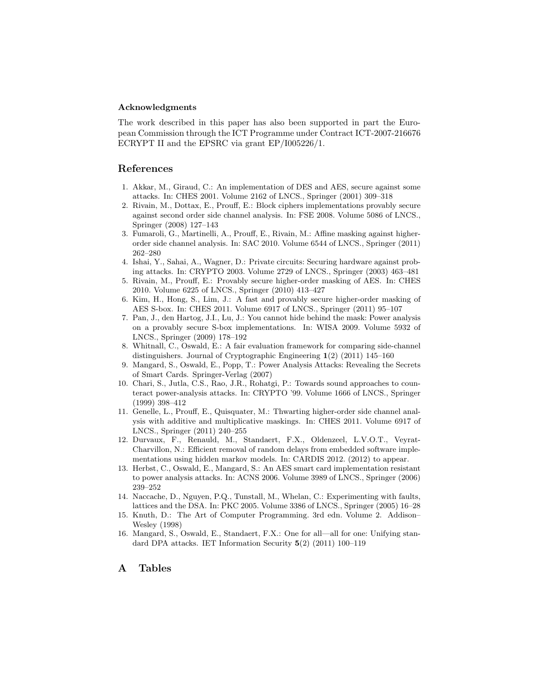#### Acknowledgments

The work described in this paper has also been supported in part the European Commission through the ICT Programme under Contract ICT-2007-216676 ECRYPT II and the EPSRC via grant EP/I005226/1.

## References

- 1. Akkar, M., Giraud, C.: An implementation of DES and AES, secure against some attacks. In: CHES 2001. Volume 2162 of LNCS., Springer (2001) 309–318
- 2. Rivain, M., Dottax, E., Prouff, E.: Block ciphers implementations provably secure against second order side channel analysis. In: FSE 2008. Volume 5086 of LNCS., Springer (2008) 127–143
- 3. Fumaroli, G., Martinelli, A., Prouff, E., Rivain, M.: Affine masking against higherorder side channel analysis. In: SAC 2010. Volume 6544 of LNCS., Springer (2011) 262–280
- 4. Ishai, Y., Sahai, A., Wagner, D.: Private circuits: Securing hardware against probing attacks. In: CRYPTO 2003. Volume 2729 of LNCS., Springer (2003) 463–481
- 5. Rivain, M., Prouff, E.: Provably secure higher-order masking of AES. In: CHES 2010. Volume 6225 of LNCS., Springer (2010) 413–427
- 6. Kim, H., Hong, S., Lim, J.: A fast and provably secure higher-order masking of AES S-box. In: CHES 2011. Volume 6917 of LNCS., Springer (2011) 95–107
- 7. Pan, J., den Hartog, J.I., Lu, J.: You cannot hide behind the mask: Power analysis on a provably secure S-box implementations. In: WISA 2009. Volume 5932 of LNCS., Springer (2009) 178–192
- 8. Whitnall, C., Oswald, E.: A fair evaluation framework for comparing side-channel distinguishers. Journal of Cryptographic Engineering 1(2) (2011) 145–160
- 9. Mangard, S., Oswald, E., Popp, T.: Power Analysis Attacks: Revealing the Secrets of Smart Cards. Springer-Verlag (2007)
- 10. Chari, S., Jutla, C.S., Rao, J.R., Rohatgi, P.: Towards sound approaches to counteract power-analysis attacks. In: CRYPTO '99. Volume 1666 of LNCS., Springer (1999) 398–412
- 11. Genelle, L., Prouff, E., Quisquater, M.: Thwarting higher-order side channel analysis with additive and multiplicative maskings. In: CHES 2011. Volume 6917 of LNCS., Springer (2011) 240–255
- 12. Durvaux, F., Renauld, M., Standaert, F.X., Oldenzeel, L.V.O.T., Veyrat-Charvillon, N.: Efficient removal of random delays from embedded software implementations using hidden markov models. In: CARDIS 2012. (2012) to appear.
- 13. Herbst, C., Oswald, E., Mangard, S.: An AES smart card implementation resistant to power analysis attacks. In: ACNS 2006. Volume 3989 of LNCS., Springer (2006) 239–252
- 14. Naccache, D., Nguyen, P.Q., Tunstall, M., Whelan, C.: Experimenting with faults, lattices and the DSA. In: PKC 2005. Volume 3386 of LNCS., Springer (2005) 16–28
- 15. Knuth, D.: The Art of Computer Programming. 3rd edn. Volume 2. Addison– Wesley (1998)
- 16. Mangard, S., Oswald, E., Standaert, F.X.: One for all—all for one: Unifying standard DPA attacks. IET Information Security 5(2) (2011) 100–119

### A Tables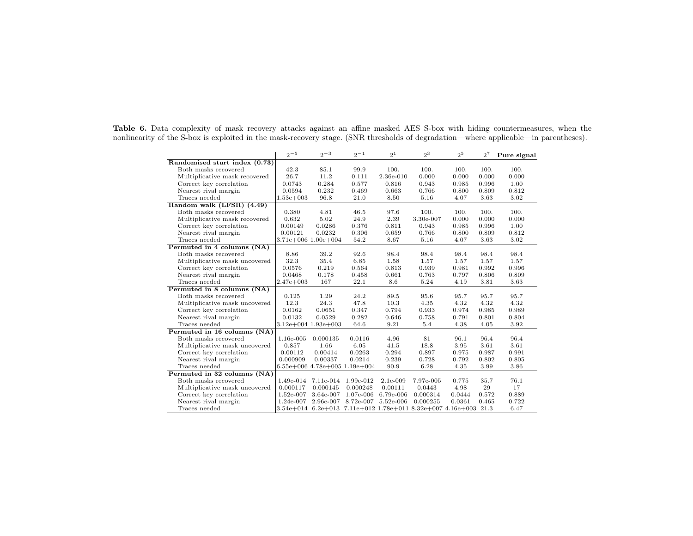|                               | $2^{-5}$      | $2^{-3}$                 | $2^{-1}$                              | $2^1$     | $2^3$                                                                         | 2 <sup>5</sup> | $2^7$ | Pure signal |
|-------------------------------|---------------|--------------------------|---------------------------------------|-----------|-------------------------------------------------------------------------------|----------------|-------|-------------|
| Randomised start index (0.73) |               |                          |                                       |           |                                                                               |                |       |             |
| Both masks recovered          | 42.3          | 85.1                     | 99.9                                  | 100.      | 100.                                                                          | 100.           | 100.  | 100.        |
| Multiplicative mask recovered | 26.7          | 11.2                     | 0.111                                 | 2.36e-010 | 0.000                                                                         | 0.000          | 0.000 | 0.000       |
| Correct key correlation       | 0.0743        | 0.284                    | 0.577                                 | 0.816     | 0.943                                                                         | 0.985          | 0.996 | 1.00        |
| Nearest rival margin          | 0.0594        | 0.232                    | 0.469                                 | 0.663     | 0.766                                                                         | 0.800          | 0.809 | 0.812       |
| Traces needed                 | $1.53e + 003$ | 96.8                     | 21.0                                  | 8.50      | 5.16                                                                          | 4.07           | 3.63  | 3.02        |
| Random walk (LFSR) (4.49)     |               |                          |                                       |           |                                                                               |                |       |             |
| Both masks recovered          | 0.380         | 4.81                     | 46.5                                  | 97.6      | 100.                                                                          | 100.           | 100.  | 100.        |
| Multiplicative mask recovered | 0.632         | 5.02                     | 24.9                                  | 2.39      | 3.30e-007                                                                     | 0.000          | 0.000 | 0.000       |
| Correct key correlation       | 0.00149       | 0.0286                   | 0.376                                 | 0.811     | 0.943                                                                         | 0.985          | 0.996 | 1.00        |
| Nearest rival margin          | 0.00121       | 0.0232                   | 0.306                                 | 0.659     | 0.766                                                                         | 0.800          | 0.809 | 0.812       |
| Traces needed                 |               | $3.71e+006$ $1.00e+004$  | 54.2                                  | 8.67      | 5.16                                                                          | 4.07           | 3.63  | 3.02        |
| Permuted in 4 columns (NA)    |               |                          |                                       |           |                                                                               |                |       |             |
| Both masks recovered          | 8.86          | 39.2                     | 92.6                                  | 98.4      | 98.4                                                                          | 98.4           | 98.4  | 98.4        |
| Multiplicative mask uncovered | 32.3          | 35.4                     | 6.85                                  | 1.58      | 1.57                                                                          | 1.57           | 1.57  | 1.57        |
| Correct key correlation       | 0.0576        | 0.219                    | 0.564                                 | 0.813     | 0.939                                                                         | 0.981          | 0.992 | 0.996       |
| Nearest rival margin          | 0.0468        | 0.178                    | 0.458                                 | 0.661     | 0.763                                                                         | 0.797          | 0.806 | 0.809       |
| Traces needed                 | $2.47e + 003$ | 167                      | 22.1                                  | 8.6       | 5.24                                                                          | 4.19           | 3.81  | 3.63        |
| Permuted in 8 columns (NA)    |               |                          |                                       |           |                                                                               |                |       |             |
| Both masks recovered          | 0.125         | 1.29                     | 24.2                                  | 89.5      | 95.6                                                                          | 95.7           | 95.7  | 95.7        |
| Multiplicative mask uncovered | 12.3          | 24.3                     | 47.8                                  | 10.3      | 4.35                                                                          | 4.32           | 4.32  | 4.32        |
| Correct key correlation       | 0.0162        | 0.0651                   | 0.347                                 | 0.794     | 0.933                                                                         | 0.974          | 0.985 | 0.989       |
| Nearest rival margin          | 0.0132        | 0.0529                   | 0.282                                 | 0.646     | 0.758                                                                         | 0.791          | 0.801 | 0.804       |
| Traces needed                 |               | $3.12e+004$ 1.93e $+003$ | 64.6                                  | 9.21      | 5.4                                                                           | 4.38           | 4.05  | 3.92        |
| Permuted in 16 columns (NA)   |               |                          |                                       |           |                                                                               |                |       |             |
| Both masks recovered          | 1.16e-005     | 0.000135                 | 0.0116                                | 4.96      | 81                                                                            | 96.1           | 96.4  | 96.4        |
| Multiplicative mask uncovered | 0.857         | 1.66                     | 6.05                                  | 41.5      | 18.8                                                                          | 3.95           | 3.61  | 3.61        |
| Correct key correlation       | 0.00112       | 0.00414                  | 0.0263                                | 0.294     | 0.897                                                                         | 0.975          | 0.987 | 0.991       |
| Nearest rival margin          | 0.000909      | 0.00337                  | 0.0214                                | 0.239     | 0.728                                                                         | 0.792          | 0.802 | 0.805       |
| Traces needed                 |               |                          | $6.55e+006$ 4.78e $+005$ 1.19e $+004$ | 90.9      | 6.28                                                                          | 4.35           | 3.99  | 3.86        |
| Permuted in 32 columns (NA)   |               |                          |                                       |           |                                                                               |                |       |             |
| Both masks recovered          | $1.49e-014$   | 7.11e-014                | 1.99e-012                             | 2.1e-009  | 7.97e-005                                                                     | 0.775          | 35.7  | 76.1        |
| Multiplicative mask uncovered | 0.000117      | 0.000145                 | 0.000248                              | 0.00111   | 0.0443                                                                        | 4.98           | 29    | 17          |
| Correct key correlation       | $1.52e-007$   | 3.64e-007                | 1.07e-006                             | 6.79e-006 | 0.000314                                                                      | 0.0444         | 0.572 | 0.889       |
| Nearest rival margin          | $1.24e-007$   | 2.96e-007                | 8.72e-007                             | 5.52e-006 | 0.000255                                                                      | 0.0361         | 0.465 | 0.722       |
| Traces needed                 |               |                          |                                       |           | $3.54e+014$ $6.2e+013$ $7.11e+012$ $1.78e+011$ $8.32e+007$ $4.16e+003$ $21.3$ |                |       | 6.47        |

Table 6. Data complexity of mask recovery attacks against an affine masked AES S-box with hiding countermeasures, when thenonlinearity of the S-box is exploited in the mask-recovery stage. (SNR thresholds of degradation—where applicable—in parentheses).